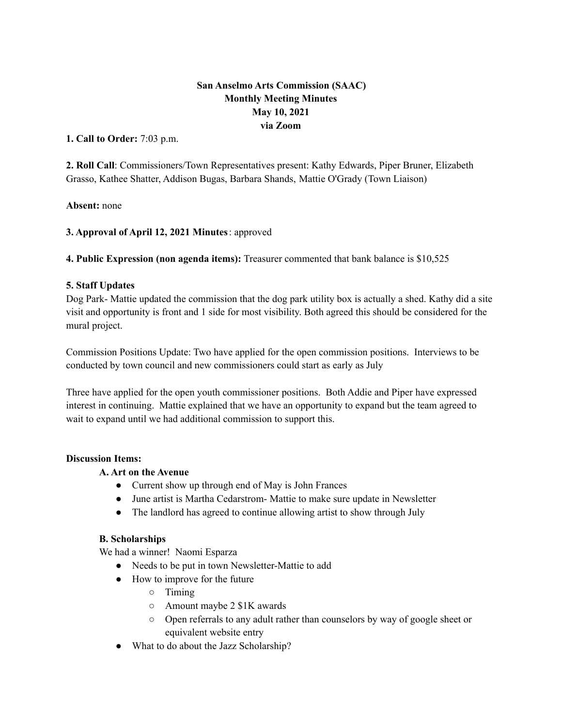# **San Anselmo Arts Commission (SAAC) Monthly Meeting Minutes May 10, 2021 via Zoom**

**1. Call to Order:** 7:03 p.m.

**2. Roll Call**: Commissioners/Town Representatives present: Kathy Edwards, Piper Bruner, Elizabeth Grasso, Kathee Shatter, Addison Bugas, Barbara Shands, Mattie O'Grady (Town Liaison)

**Absent:** none

**3. Approval of April 12, 2021 Minutes**: approved

**4. Public Expression (non agenda items):** Treasurer commented that bank balance is \$10,525

## **5. Staff Updates**

Dog Park- Mattie updated the commission that the dog park utility box is actually a shed. Kathy did a site visit and opportunity is front and 1 side for most visibility. Both agreed this should be considered for the mural project.

Commission Positions Update: Two have applied for the open commission positions. Interviews to be conducted by town council and new commissioners could start as early as July

Three have applied for the open youth commissioner positions. Both Addie and Piper have expressed interest in continuing. Mattie explained that we have an opportunity to expand but the team agreed to wait to expand until we had additional commission to support this.

#### **Discussion Items:**

## **A. Art on the Avenue**

- Current show up through end of May is John Frances
- June artist is Martha Cedarstrom- Mattie to make sure update in Newsletter
- The landlord has agreed to continue allowing artist to show through July

#### **B. Scholarships**

We had a winner! Naomi Esparza

- Needs to be put in town Newsletter-Mattie to add
- How to improve for the future
	- Timing
	- Amount maybe 2 \$1K awards
	- Open referrals to any adult rather than counselors by way of google sheet or equivalent website entry
- What to do about the Jazz Scholarship?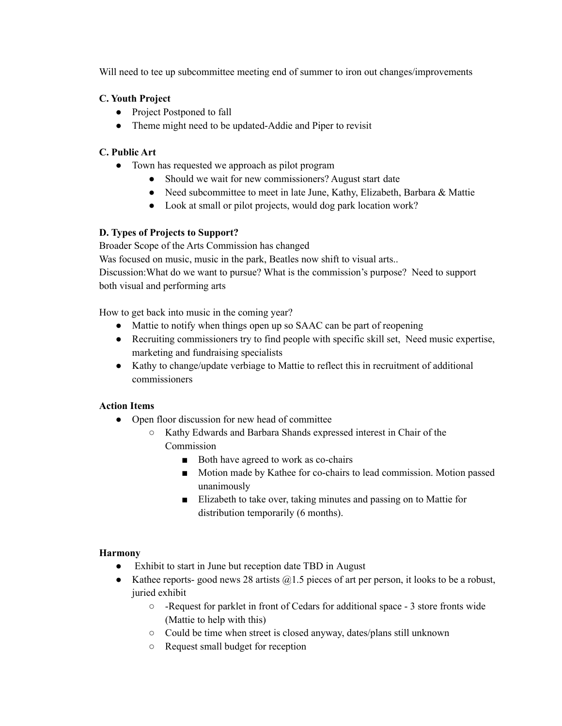Will need to tee up subcommittee meeting end of summer to iron out changes/improvements

# **C. Youth Project**

- Project Postponed to fall
- Theme might need to be updated-Addie and Piper to revisit

# **C. Public Art**

- Town has requested we approach as pilot program
	- Should we wait for new commissioners? August start date
	- Need subcommittee to meet in late June, Kathy, Elizabeth, Barbara & Mattie
	- Look at small or pilot projects, would dog park location work?

# **D. Types of Projects to Support?**

Broader Scope of the Arts Commission has changed

Was focused on music, music in the park, Beatles now shift to visual arts..

Discussion:What do we want to pursue? What is the commission's purpose? Need to support both visual and performing arts

How to get back into music in the coming year?

- Mattie to notify when things open up so SAAC can be part of reopening
- Recruiting commissioners try to find people with specific skill set, Need music expertise, marketing and fundraising specialists
- Kathy to change/update verbiage to Mattie to reflect this in recruitment of additional commissioners

## **Action Items**

- Open floor discussion for new head of committee
	- Kathy Edwards and Barbara Shands expressed interest in Chair of the **Commission** 
		- Both have agreed to work as co-chairs
		- Motion made by Kathee for co-chairs to lead commission. Motion passed unanimously
		- Elizabeth to take over, taking minutes and passing on to Mattie for distribution temporarily (6 months).

## **Harmony**

- Exhibit to start in June but reception date TBD in August
- Kathee reports- good news 28 artists  $@1.5$  pieces of art per person, it looks to be a robust, juried exhibit
	- -Request for parklet in front of Cedars for additional space 3 store fronts wide (Mattie to help with this)
	- Could be time when street is closed anyway, dates/plans still unknown
	- Request small budget for reception